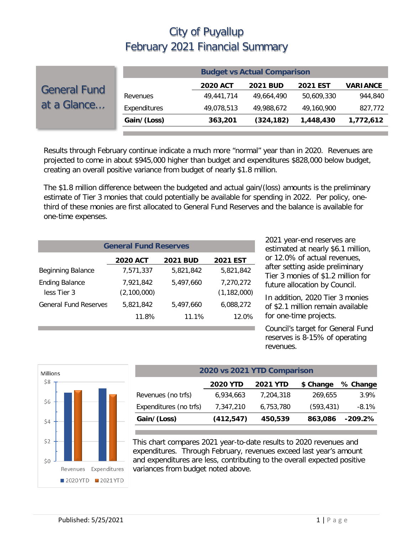| <b>Budget vs Actual Comparison</b> |                                         |                 |                 |                 |  |
|------------------------------------|-----------------------------------------|-----------------|-----------------|-----------------|--|
|                                    | <b>2020 ACT</b>                         | <b>2021 BUD</b> | <b>2021 EST</b> | <b>VARIANCE</b> |  |
|                                    | 49,441,714                              | 49.664.490      | 50.609.330      | 944,840         |  |
|                                    | 49,078,513                              | 49,988,672      | 49,160,900      | 827,772         |  |
|                                    | 363,201                                 | (324, 182)      | 1,448,430       | 1,772,612       |  |
|                                    | Revenues<br>Expenditures<br>Gain/(Loss) |                 |                 |                 |  |

Results through February continue indicate a much more "normal" year than in 2020. Revenues are projected to come in about \$945,000 higher than budget and expenditures \$828,000 below budget, creating an overall positive variance from budget of nearly \$1.8 million.

The \$1.8 million difference between the budgeted and actual gain/(loss) amounts is the preliminary estimate of Tier 3 monies that could potentially be available for spending in 2022. Per policy, onethird of these monies are first allocated to General Fund Reserves and the balance is available for one-time expenses.

| <b>General Fund Reserves</b>         |                          |                 |                            |  |  |  |
|--------------------------------------|--------------------------|-----------------|----------------------------|--|--|--|
|                                      | <b>2020 ACT</b>          | <b>2021 BUD</b> | <b>2021 EST</b>            |  |  |  |
| Beginning Balance                    | 7,571,337                | 5.821.842       | 5,821,842                  |  |  |  |
| <b>Ending Balance</b><br>less Tier 3 | 7,921,842<br>(2,100,000) | 5,497,660       | 7,270,272<br>(1, 182, 000) |  |  |  |
| <b>General Fund Reserves</b>         | 5,821,842                | 5,497,660       | 6,088,272                  |  |  |  |
|                                      | 11.8%                    | 11.1%           | 12.0%                      |  |  |  |

2021 year-end reserves are estimated at nearly \$6.1 million, or 12.0% of actual revenues, after setting aside preliminary Tier 3 monies of \$1.2 million for future allocation by Council.

In addition, 2020 Tier 3 monies of \$2.1 million remain available for one-time projects.

Council's target for General Fund reserves is 8-15% of operating revenues.



| 2020 vs 2021 YTD Comparison |                 |                 |            |           |  |  |  |
|-----------------------------|-----------------|-----------------|------------|-----------|--|--|--|
|                             | <b>2020 YTD</b> | <b>2021 YTD</b> | \$ Change  | % Change  |  |  |  |
| Revenues (no trfs)          | 6,934,663       | 7,204,318       | 269,655    | 3.9%      |  |  |  |
| Expenditures (no trfs)      | 7,347,210       | 6,753,780       | (593, 431) | $-8.1\%$  |  |  |  |
| Gain/(Loss)                 | (412, 547)      | 450,539         | 863,086    | $-209.2%$ |  |  |  |

This chart compares 2021 year-to-date results to 2020 revenues and expenditures. Through February, revenues exceed last year's amount and expenditures are less, contributing to the overall expected positive variances from budget noted above.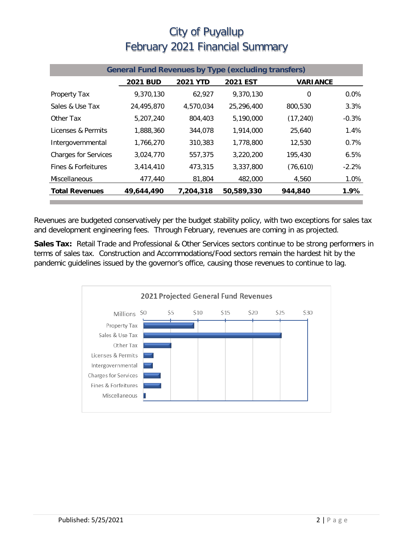| <b>General Fund Revenues by Type (excluding transfers)</b> |                 |                 |                 |                 |         |
|------------------------------------------------------------|-----------------|-----------------|-----------------|-----------------|---------|
|                                                            | <b>2021 BUD</b> | <b>2021 YTD</b> | <b>2021 EST</b> | <b>VARIANCE</b> |         |
| Property Tax                                               | 9,370,130       | 62,927          | 9.370.130       | $\mathbf 0$     | $0.0\%$ |
| Sales & Use Tax                                            | 24,495,870      | 4,570,034       | 25,296,400      | 800,530         | 3.3%    |
| Other Tax                                                  | 5,207,240       | 804,403         | 5,190,000       | (17, 240)       | $-0.3%$ |
| Licenses & Permits                                         | 1,888,360       | 344,078         | 1.914.000       | 25,640          | 1.4%    |
| Intergovernmental                                          | 1,766,270       | 310,383         | 1,778,800       | 12,530          | 0.7%    |
| <b>Charges for Services</b>                                | 3,024,770       | 557,375         | 3,220,200       | 195,430         | 6.5%    |
| Fines & Forfeitures                                        | 3,414,410       | 473,315         | 3,337,800       | (76, 610)       | $-2.2%$ |
| Miscellaneous                                              | 477,440         | 81,804          | 482,000         | 4,560           | 1.0%    |
| <b>Total Revenues</b>                                      | 49,644,490      | 7,204,318       | 50,589,330      | 944,840         | 1.9%    |

Revenues are budgeted conservatively per the budget stability policy, with two exceptions for sales tax and development engineering fees. Through February, revenues are coming in as projected.

**Sales Tax:** Retail Trade and Professional & Other Services sectors continue to be strong performers in terms of sales tax. Construction and Accommodations/Food sectors remain the hardest hit by the pandemic guidelines issued by the governor's office, causing those revenues to continue to lag.

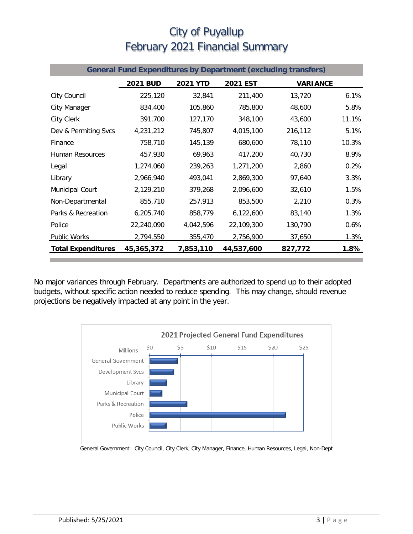| <b>General Fund Expenditures by Department (excluding transfers)</b> |                 |                 |            |                 |       |  |
|----------------------------------------------------------------------|-----------------|-----------------|------------|-----------------|-------|--|
|                                                                      | <b>2021 BUD</b> | <b>2021 YTD</b> | 2021 EST   | <b>VARIANCE</b> |       |  |
| City Council                                                         | 225,120         | 32,841          | 211,400    | 13,720          | 6.1%  |  |
| <b>City Manager</b>                                                  | 834,400         | 105,860         | 785,800    | 48,600          | 5.8%  |  |
| City Clerk                                                           | 391,700         | 127,170         | 348,100    | 43,600          | 11.1% |  |
| Dev & Permiting Svcs                                                 | 4,231,212       | 745,807         | 4,015,100  | 216,112         | 5.1%  |  |
| Finance                                                              | 758,710         | 145,139         | 680,600    | 78,110          | 10.3% |  |
| Human Resources                                                      | 457,930         | 69,963          | 417,200    | 40,730          | 8.9%  |  |
| Legal                                                                | 1,274,060       | 239,263         | 1,271,200  | 2,860           | 0.2%  |  |
| Library                                                              | 2,966,940       | 493,041         | 2,869,300  | 97,640          | 3.3%  |  |
| Municipal Court                                                      | 2,129,210       | 379,268         | 2,096,600  | 32,610          | 1.5%  |  |
| Non-Departmental                                                     | 855,710         | 257,913         | 853,500    | 2,210           | 0.3%  |  |
| Parks & Recreation                                                   | 6,205,740       | 858,779         | 6,122,600  | 83,140          | 1.3%  |  |
| Police                                                               | 22,240,090      | 4,042,596       | 22,109,300 | 130,790         | 0.6%  |  |
| <b>Public Works</b>                                                  | 2,794,550       | 355,470         | 2,756,900  | 37,650          | 1.3%  |  |
| <b>Total Expenditures</b>                                            | 45,365,372      | 7,853,110       | 44,537,600 | 827,772         | 1.8%  |  |

No major variances through February. Departments are authorized to spend up to their adopted budgets, without specific action needed to reduce spending. This may change, should revenue projections be negatively impacted at any point in the year.



General Government: City Council, City Clerk, City Manager, Finance, Human Resources, Legal, Non-Dept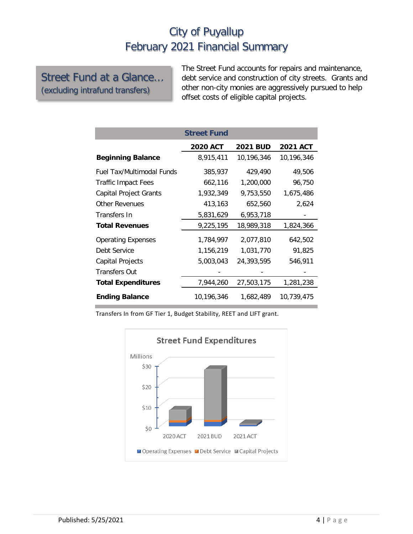#### Street Fund at a Glance… (excluding intrafund transfers)

The Street Fund accounts for repairs and maintenance, debt service and construction of city streets. Grants and other non-city monies are aggressively pursued to help offset costs of eligible capital projects.

|                                  | <b>Street Fund</b> |                 |                 |
|----------------------------------|--------------------|-----------------|-----------------|
|                                  | <b>2020 ACT</b>    | <b>2021 BUD</b> | <b>2021 ACT</b> |
| <b>Beginning Balance</b>         | 8,915,411          | 10,196,346      | 10,196,346      |
| <b>Fuel Tax/Multimodal Funds</b> | 385,937            | 429,490         | 49,506          |
| <b>Traffic Impact Fees</b>       | 662,116            | 1,200,000       | 96,750          |
| Capital Project Grants           | 1,932,349          | 9,753,550       | 1,675,486       |
| <b>Other Revenues</b>            | 413,163            | 652,560         | 2,624           |
| Transfers In                     | 5,831,629          | 6,953,718       |                 |
| <b>Total Revenues</b>            | 9,225,195          | 18,989,318      | 1,824,366       |
| <b>Operating Expenses</b>        | 1,784,997          | 2,077,810       | 642,502         |
| Debt Service                     | 1,156,219          | 1,031,770       | 91,825          |
| Capital Projects                 | 5,003,043          | 24,393,595      | 546,911         |
| <b>Transfers Out</b>             |                    |                 |                 |
| <b>Total Expenditures</b>        | 7,944,260          | 27,503,175      | 1,281,238       |
| <b>Ending Balance</b>            | 10,196,346         | 1,682,489       | 10,739,475      |

Transfers In from GF Tier 1, Budget Stability, REET and LIFT grant.

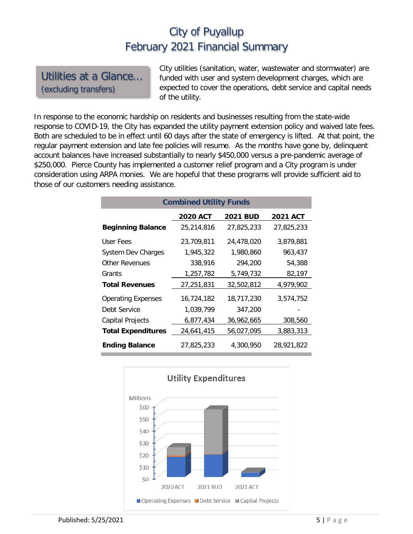Utilities at a Glance… (excluding transfers)

City utilities (sanitation, water, wastewater and stormwater) are funded with user and system development charges, which are expected to cover the operations, debt service and capital needs of the utility.

In response to the economic hardship on residents and businesses resulting from the state-wide response to COVID-19, the City has expanded the utility payment extension policy and waived late fees. Both are scheduled to be in effect until 60 days after the state of emergency is lifted. At that point, the regular payment extension and late fee policies will resume. As the months have gone by, delinquent account balances have increased substantially to nearly \$450,000 versus a pre-pandemic average of \$250,000. Pierce County has implemented a customer relief program and a City program is under consideration using ARPA monies. We are hopeful that these programs will provide sufficient aid to those of our customers needing assistance.

| <b>Combined Utility Funds</b> |                 |                 |                 |  |  |  |  |
|-------------------------------|-----------------|-----------------|-----------------|--|--|--|--|
|                               | <b>2020 ACT</b> | <b>2021 BUD</b> | <b>2021 ACT</b> |  |  |  |  |
| <b>Beginning Balance</b>      | 25,214,816      | 27,825,233      | 27,825,233      |  |  |  |  |
| User Fees                     | 23,709,811      | 24,478,020      | 3,879,881       |  |  |  |  |
| <b>System Dev Charges</b>     | 1,945,322       | 1,980,860       | 963,437         |  |  |  |  |
| Other Revenues                | 338,916         | 294,200         | 54,388          |  |  |  |  |
| Grants                        | 1,257,782       | 5,749,732       | 82,197          |  |  |  |  |
| <b>Total Revenues</b>         | 27,251,831      | 32,502,812      | 4,979,902       |  |  |  |  |
| <b>Operating Expenses</b>     | 16,724,182      | 18,717,230      | 3,574,752       |  |  |  |  |
| Debt Service                  | 1,039,799       | 347,200         |                 |  |  |  |  |
| <b>Capital Projects</b>       | 6,877,434       | 36,962,665      | 308,560         |  |  |  |  |
| <b>Total Expenditures</b>     | 24,641,415      | 56,027,095      | 3,883,313       |  |  |  |  |
| <b>Ending Balance</b>         | 27,825,233      | 4,300,950       | 28,921,822      |  |  |  |  |

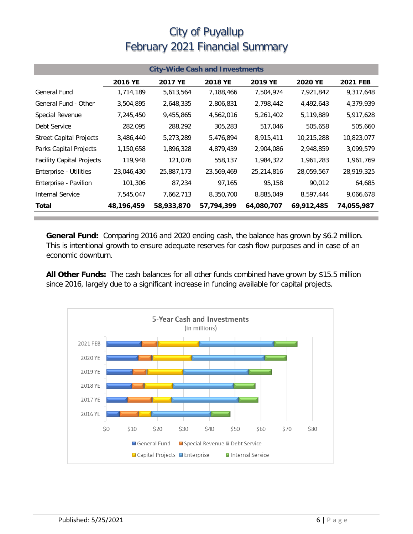| <b>City-Wide Cash and Investments</b> |              |            |                |            |                |                 |
|---------------------------------------|--------------|------------|----------------|------------|----------------|-----------------|
|                                       | 2016 YE      | 2017 YE    | <b>2018 YE</b> | 2019 YE    | <b>2020 YE</b> | <b>2021 FEB</b> |
| General Fund                          | 1,714,189    | 5,613,564  | 7,188,466      | 7,504,974  | 7,921,842      | 9,317,648       |
| General Fund - Other                  | 3,504,895    | 2,648,335  | 2,806,831      | 2,798,442  | 4,492,643      | 4,379,939       |
| Special Revenue                       | 7,245,450    | 9,455,865  | 4,562,016      | 5,261,402  | 5,119,889      | 5,917,628       |
| Debt Service                          | 282,095      | 288,292    | 305,283        | 517,046    | 505,658        | 505,660         |
| <b>Street Capital Projects</b>        | 3,486,440    | 5,273,289  | 5,476,894      | 8,915,411  | 10,215,288     | 10,823,077      |
| Parks Capital Projects                | 1,150,658    | 1,896,328  | 4,879,439      | 2,904,086  | 2,948,859      | 3,099,579       |
| <b>Facility Capital Projects</b>      | 119,948      | 121,076    | 558,137        | 1,984,322  | 1,961,283      | 1,961,769       |
| Enterprise - Utilities                | 23,046,430   | 25,887,173 | 23,569,469     | 25,214,816 | 28,059,567     | 28,919,325      |
| Enterprise - Pavilion                 | 101,306      | 87,234     | 97,165         | 95,158     | 90,012         | 64,685          |
| <b>Internal Service</b>               | 7,545,047    | 7,662,713  | 8,350,700      | 8,885,049  | 8,597,444      | 9,066,678       |
| Total                                 | 48, 196, 459 | 58,933,870 | 57,794,399     | 64,080,707 | 69,912,485     | 74,055,987      |

**General Fund:** Comparing 2016 and 2020 ending cash, the balance has grown by \$6.2 million. This is intentional growth to ensure adequate reserves for cash flow purposes and in case of an economic downturn.

**All Other Funds:** The cash balances for all other funds combined have grown by \$15.5 million since 2016, largely due to a significant increase in funding available for capital projects.